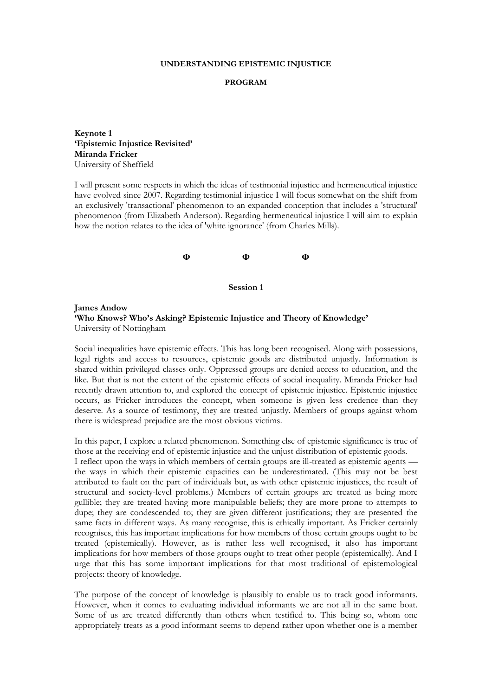#### **UNDERSTANDING EPISTEMIC INJUSTICE**

#### **PROGRAM**

**Keynote 1 'Epistemic Injustice Revisited' Miranda Fricker** University of Sheffield

I will present some respects in which the ideas of testimonial injustice and hermeneutical injustice have evolved since 2007. Regarding testimonial injustice I will focus somewhat on the shift from an exclusively 'transactional' phenomenon to an expanded conception that includes a 'structural' phenomenon (from Elizabeth Anderson). Regarding hermeneutical injustice I will aim to explain how the notion relates to the idea of 'white ignorance' (from Charles Mills).

**Φ Φ Φ**

**Session 1**

**James Andow 'Who Knows? Who's Asking? Epistemic Injustice and Theory of Knowledge'** University of Nottingham

Social inequalities have epistemic effects. This has long been recognised. Along with possessions, legal rights and access to resources, epistemic goods are distributed unjustly. Information is shared within privileged classes only. Oppressed groups are denied access to education, and the like. But that is not the extent of the epistemic effects of social inequality. Miranda Fricker had recently drawn attention to, and explored the concept of epistemic injustice. Epistemic injustice occurs, as Fricker introduces the concept, when someone is given less credence than they deserve. As a source of testimony, they are treated unjustly. Members of groups against whom there is widespread prejudice are the most obvious victims.

In this paper, I explore a related phenomenon. Something else of epistemic significance is true of those at the receiving end of epistemic injustice and the unjust distribution of epistemic goods.

I reflect upon the ways in which members of certain groups are ill-treated as epistemic agents the ways in which their epistemic capacities can be underestimated. (This may not be best attributed to fault on the part of individuals but, as with other epistemic injustices, the result of structural and society-level problems.) Members of certain groups are treated as being more gullible; they are treated having more manipulable beliefs; they are more prone to attempts to dupe; they are condescended to; they are given different justifications; they are presented the same facts in different ways. As many recognise, this is ethically important. As Fricker certainly recognises, this has important implications for how members of those certain groups ought to be treated (epistemically). However, as is rather less well recognised, it also has important implications for how members of those groups ought to treat other people (epistemically). And I urge that this has some important implications for that most traditional of epistemological projects: theory of knowledge.

The purpose of the concept of knowledge is plausibly to enable us to track good informants. However, when it comes to evaluating individual informants we are not all in the same boat. Some of us are treated differently than others when testified to. This being so, whom one appropriately treats as a good informant seems to depend rather upon whether one is a member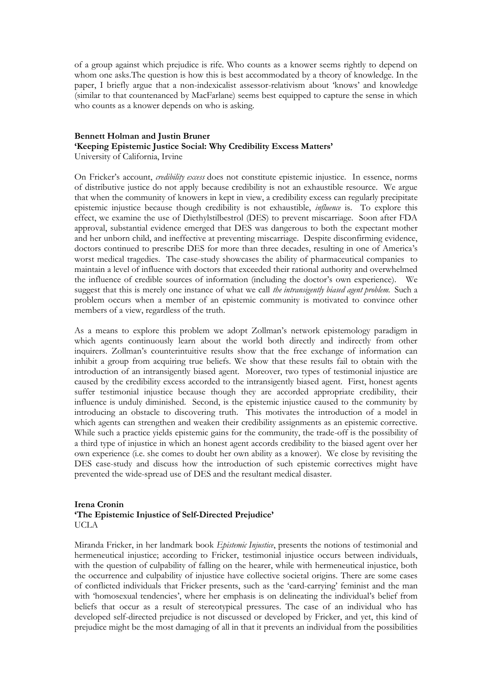of a group against which prejudice is rife. Who counts as a knower seems rightly to depend on whom one asks.The question is how this is best accommodated by a theory of knowledge. In the paper, I briefly argue that a non-indexicalist assessor-relativism about 'knows' and knowledge (similar to that countenanced by MacFarlane) seems best equipped to capture the sense in which who counts as a knower depends on who is asking.

#### **Bennett Holman and Justin Bruner 'Keeping Epistemic Justice Social: Why Credibility Excess Matters'** University of California, Irvine

On Fricker's account, *credibility excess* does not constitute epistemic injustice. In essence, norms of distributive justice do not apply because credibility is not an exhaustible resource. We argue that when the community of knowers in kept in view, a credibility excess can regularly precipitate epistemic injustice because though credibility is not exhaustible, *influence* is. To explore this effect, we examine the use of Diethylstilbestrol (DES) to prevent miscarriage. Soon after FDA approval, substantial evidence emerged that DES was dangerous to both the expectant mother and her unborn child, and ineffective at preventing miscarriage. Despite disconfirming evidence, doctors continued to prescribe DES for more than three decades, resulting in one of America's worst medical tragedies. The case-study showcases the ability of pharmaceutical companies to maintain a level of influence with doctors that exceeded their rational authority and overwhelmed the influence of credible sources of information (including the doctor's own experience). We suggest that this is merely one instance of what we call *the intransigently biased agent problem.* Such a problem occurs when a member of an epistemic community is motivated to convince other members of a view, regardless of the truth.

As a means to explore this problem we adopt Zollman's network epistemology paradigm in which agents continuously learn about the world both directly and indirectly from other inquirers. Zollman's counterintuitive results show that the free exchange of information can inhibit a group from acquiring true beliefs. We show that these results fail to obtain with the introduction of an intransigently biased agent. Moreover, two types of testimonial injustice are caused by the credibility excess accorded to the intransigently biased agent. First, honest agents suffer testimonial injustice because though they are accorded appropriate credibility, their influence is unduly diminished. Second, is the epistemic injustice caused to the community by introducing an obstacle to discovering truth. This motivates the introduction of a model in which agents can strengthen and weaken their credibility assignments as an epistemic corrective. While such a practice yields epistemic gains for the community, the trade-off is the possibility of a third type of injustice in which an honest agent accords credibility to the biased agent over her own experience (i.e. she comes to doubt her own ability as a knower). We close by revisiting the DES case-study and discuss how the introduction of such epistemic correctives might have prevented the wide-spread use of DES and the resultant medical disaster.

### **Irena Cronin 'The Epistemic Injustice of Self-Directed Prejudice'** UCLA

Miranda Fricker, in her landmark book *Epistemic Injustice*, presents the notions of testimonial and hermeneutical injustice; according to Fricker, testimonial injustice occurs between individuals, with the question of culpability of falling on the hearer, while with hermeneutical injustice, both the occurrence and culpability of injustice have collective societal origins. There are some cases of conflicted individuals that Fricker presents, such as the 'card-carrying' feminist and the man with 'homosexual tendencies', where her emphasis is on delineating the individual's belief from beliefs that occur as a result of stereotypical pressures. The case of an individual who has developed self-directed prejudice is not discussed or developed by Fricker, and yet, this kind of prejudice might be the most damaging of all in that it prevents an individual from the possibilities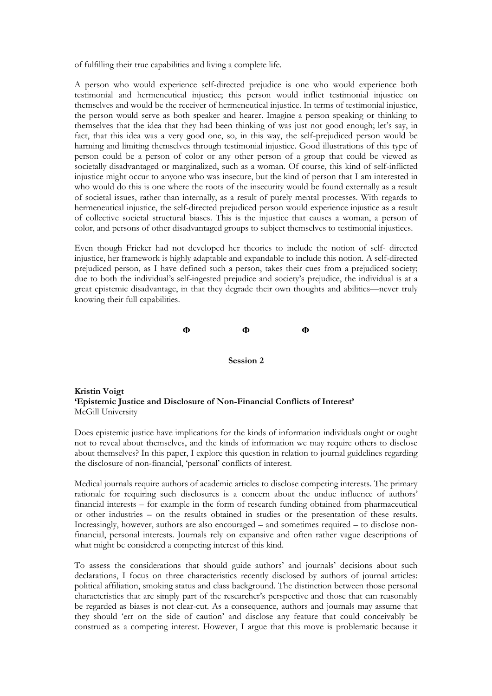of fulfilling their true capabilities and living a complete life.

A person who would experience self-directed prejudice is one who would experience both testimonial and hermeneutical injustice; this person would inflict testimonial injustice on themselves and would be the receiver of hermeneutical injustice. In terms of testimonial injustice, the person would serve as both speaker and hearer. Imagine a person speaking or thinking to themselves that the idea that they had been thinking of was just not good enough; let's say, in fact, that this idea was a very good one, so, in this way, the self-prejudiced person would be harming and limiting themselves through testimonial injustice. Good illustrations of this type of person could be a person of color or any other person of a group that could be viewed as societally disadvantaged or marginalized, such as a woman. Of course, this kind of self-inflicted injustice might occur to anyone who was insecure, but the kind of person that I am interested in who would do this is one where the roots of the insecurity would be found externally as a result of societal issues, rather than internally, as a result of purely mental processes. With regards to hermeneutical injustice, the self-directed prejudiced person would experience injustice as a result of collective societal structural biases. This is the injustice that causes a woman, a person of color, and persons of other disadvantaged groups to subject themselves to testimonial injustices.

Even though Fricker had not developed her theories to include the notion of self- directed injustice, her framework is highly adaptable and expandable to include this notion. A self-directed prejudiced person, as I have defined such a person, takes their cues from a prejudiced society; due to both the individual's self-ingested prejudice and society's prejudice, the individual is at a great epistemic disadvantage, in that they degrade their own thoughts and abilities—never truly knowing their full capabilities.

**Φ Φ Φ**



**Kristin Voigt 'Epistemic Justice and Disclosure of Non-Financial Conflicts of Interest'** McGill University

Does epistemic justice have implications for the kinds of information individuals ought or ought not to reveal about themselves, and the kinds of information we may require others to disclose about themselves? In this paper, I explore this question in relation to journal guidelines regarding the disclosure of non-financial, 'personal' conflicts of interest.

Medical journals require authors of academic articles to disclose competing interests. The primary rationale for requiring such disclosures is a concern about the undue influence of authors' financial interests – for example in the form of research funding obtained from pharmaceutical or other industries – on the results obtained in studies or the presentation of these results. Increasingly, however, authors are also encouraged – and sometimes required – to disclose nonfinancial, personal interests. Journals rely on expansive and often rather vague descriptions of what might be considered a competing interest of this kind.

To assess the considerations that should guide authors' and journals' decisions about such declarations, I focus on three characteristics recently disclosed by authors of journal articles: political affiliation, smoking status and class background. The distinction between those personal characteristics that are simply part of the researcher's perspective and those that can reasonably be regarded as biases is not clear-cut. As a consequence, authors and journals may assume that they should 'err on the side of caution' and disclose any feature that could conceivably be construed as a competing interest. However, I argue that this move is problematic because it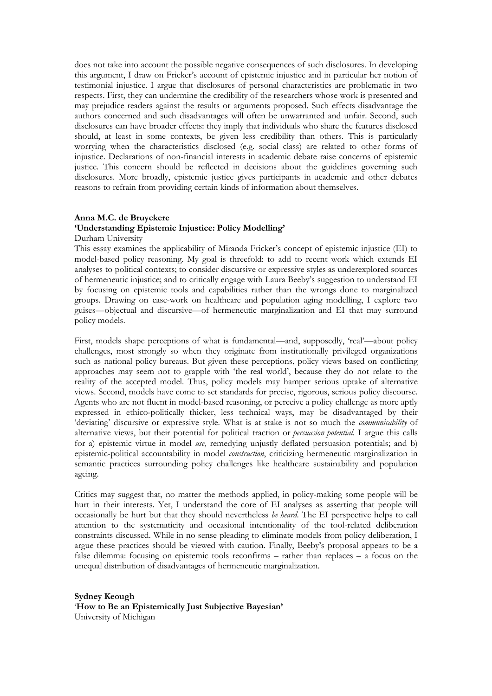does not take into account the possible negative consequences of such disclosures. In developing this argument, I draw on Fricker's account of epistemic injustice and in particular her notion of testimonial injustice. I argue that disclosures of personal characteristics are problematic in two respects. First, they can undermine the credibility of the researchers whose work is presented and may prejudice readers against the results or arguments proposed. Such effects disadvantage the authors concerned and such disadvantages will often be unwarranted and unfair. Second, such disclosures can have broader effects: they imply that individuals who share the features disclosed should, at least in some contexts, be given less credibility than others. This is particularly worrying when the characteristics disclosed (e.g. social class) are related to other forms of injustice. Declarations of non-financial interests in academic debate raise concerns of epistemic justice. This concern should be reflected in decisions about the guidelines governing such disclosures. More broadly, epistemic justice gives participants in academic and other debates reasons to refrain from providing certain kinds of information about themselves.

#### **Anna M.C. de Bruyckere 'Understanding Epistemic Injustice: Policy Modelling'** Durham University

This essay examines the applicability of Miranda Fricker's concept of epistemic injustice (EI) to model-based policy reasoning. My goal is threefold: to add to recent work which extends EI analyses to political contexts; to consider discursive or expressive styles as underexplored sources of hermeneutic injustice; and to critically engage with Laura Beeby's suggestion to understand EI by focusing on epistemic tools and capabilities rather than the wrongs done to marginalized groups. Drawing on case-work on healthcare and population aging modelling, I explore two guises—objectual and discursive—of hermeneutic marginalization and EI that may surround policy models.

First, models shape perceptions of what is fundamental—and, supposedly, 'real'—about policy challenges, most strongly so when they originate from institutionally privileged organizations such as national policy bureaus. But given these perceptions, policy views based on conflicting approaches may seem not to grapple with 'the real world', because they do not relate to the reality of the accepted model. Thus, policy models may hamper serious uptake of alternative views. Second, models have come to set standards for precise, rigorous, serious policy discourse. Agents who are not fluent in model-based reasoning, or perceive a policy challenge as more aptly expressed in ethico-politically thicker, less technical ways, may be disadvantaged by their 'deviating' discursive or expressive style. What is at stake is not so much the *communicability* of alternative views, but their potential for political traction or *persuasion potential*. I argue this calls for a) epistemic virtue in model *use*, remedying unjustly deflated persuasion potentials; and b) epistemic-political accountability in model *construction*, criticizing hermeneutic marginalization in semantic practices surrounding policy challenges like healthcare sustainability and population ageing.

Critics may suggest that, no matter the methods applied, in policy-making some people will be hurt in their interests. Yet, I understand the core of EI analyses as asserting that people will occasionally be hurt but that they should nevertheless *be heard*. The EI perspective helps to call attention to the systematicity and occasional intentionality of the tool-related deliberation constraints discussed. While in no sense pleading to eliminate models from policy deliberation, I argue these practices should be viewed with caution. Finally, Beeby's proposal appears to be a false dilemma: focusing on epistemic tools reconfirms – rather than replaces – a focus on the unequal distribution of disadvantages of hermeneutic marginalization.

**Sydney Keough** '**How to Be an Epistemically Just Subjective Bayesian'** University of Michigan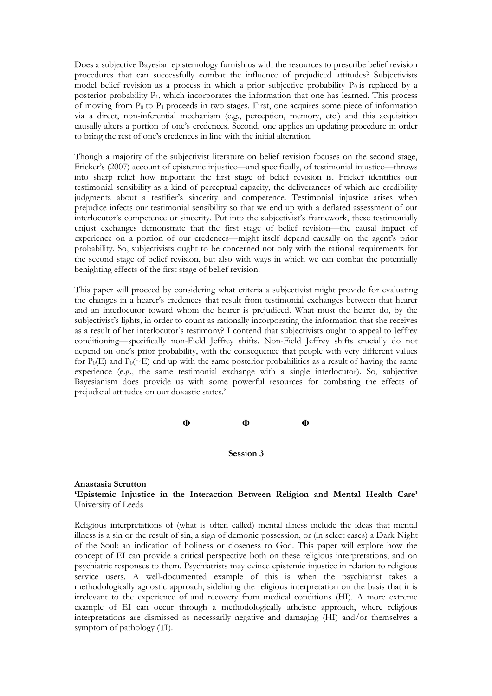Does a subjective Bayesian epistemology furnish us with the resources to prescribe belief revision procedures that can successfully combat the influence of prejudiced attitudes? Subjectivists model belief revision as a process in which a prior subjective probability  $P_0$  is replaced by a posterior probability P<sub>1</sub>, which incorporates the information that one has learned. This process of moving from  $P_0$  to  $P_1$  proceeds in two stages. First, one acquires some piece of information via a direct, non-inferential mechanism (e.g., perception, memory, etc.) and this acquisition causally alters a portion of one's credences. Second, one applies an updating procedure in order to bring the rest of one's credences in line with the initial alteration.

Though a majority of the subjectivist literature on belief revision focuses on the second stage, Fricker's (2007) account of epistemic injustice—and specifically, of testimonial injustice—throws into sharp relief how important the first stage of belief revision is. Fricker identifies our testimonial sensibility as a kind of perceptual capacity, the deliverances of which are credibility judgments about a testifier's sincerity and competence. Testimonial injustice arises when prejudice infects our testimonial sensibility so that we end up with a deflated assessment of our interlocutor's competence or sincerity. Put into the subjectivist's framework, these testimonially unjust exchanges demonstrate that the first stage of belief revision—the causal impact of experience on a portion of our credences—might itself depend causally on the agent's prior probability. So, subjectivists ought to be concerned not only with the rational requirements for the second stage of belief revision, but also with ways in which we can combat the potentially benighting effects of the first stage of belief revision.

This paper will proceed by considering what criteria a subjectivist might provide for evaluating the changes in a hearer's credences that result from testimonial exchanges between that hearer and an interlocutor toward whom the hearer is prejudiced. What must the hearer do, by the subjectivist's lights, in order to count as rationally incorporating the information that she receives as a result of her interlocutor's testimony? I contend that subjectivists ought to appeal to Jeffrey conditioning—specifically non-Field Jeffrey shifts. Non-Field Jeffrey shifts crucially do not depend on one's prior probability, with the consequence that people with very different values for  $P_0(E)$  and  $P_0(\sim E)$  end up with the same posterior probabilities as a result of having the same experience (e.g., the same testimonial exchange with a single interlocutor). So, subjective Bayesianism does provide us with some powerful resources for combating the effects of prejudicial attitudes on our doxastic states.'

**Φ Φ Φ**

**Session 3**

#### **Anastasia Scrutton 'Epistemic Injustice in the Interaction Between Religion and Mental Health Care'** University of Leeds

Religious interpretations of (what is often called) mental illness include the ideas that mental illness is a sin or the result of sin, a sign of demonic possession, or (in select cases) a Dark Night of the Soul: an indication of holiness or closeness to God. This paper will explore how the concept of EI can provide a critical perspective both on these religious interpretations, and on psychiatric responses to them. Psychiatrists may evince epistemic injustice in relation to religious service users. A well-documented example of this is when the psychiatrist takes a methodologically agnostic approach, sidelining the religious interpretation on the basis that it is irrelevant to the experience of and recovery from medical conditions (HI). A more extreme example of EI can occur through a methodologically atheistic approach, where religious interpretations are dismissed as necessarily negative and damaging (HI) and/or themselves a symptom of pathology (TI).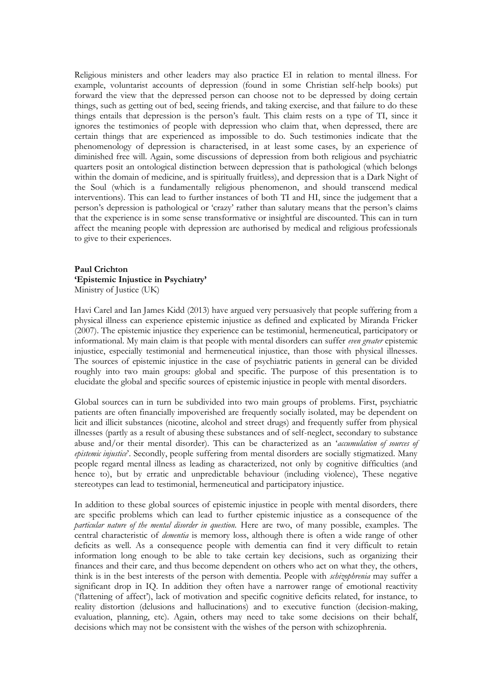Religious ministers and other leaders may also practice EI in relation to mental illness. For example, voluntarist accounts of depression (found in some Christian self-help books) put forward the view that the depressed person can choose not to be depressed by doing certain things, such as getting out of bed, seeing friends, and taking exercise, and that failure to do these things entails that depression is the person's fault. This claim rests on a type of TI, since it ignores the testimonies of people with depression who claim that, when depressed, there are certain things that are experienced as impossible to do. Such testimonies indicate that the phenomenology of depression is characterised, in at least some cases, by an experience of diminished free will. Again, some discussions of depression from both religious and psychiatric quarters posit an ontological distinction between depression that is pathological (which belongs within the domain of medicine, and is spiritually fruitless), and depression that is a Dark Night of the Soul (which is a fundamentally religious phenomenon, and should transcend medical interventions). This can lead to further instances of both TI and HI, since the judgement that a person's depression is pathological or 'crazy' rather than salutary means that the person's claims that the experience is in some sense transformative or insightful are discounted. This can in turn affect the meaning people with depression are authorised by medical and religious professionals to give to their experiences.

#### **Paul Crichton 'Epistemic Injustice in Psychiatry'** Ministry of Justice (UK)

Havi Carel and Ian James Kidd (2013) have argued very persuasively that people suffering from a physical illness can experience epistemic injustice as defined and explicated by Miranda Fricker (2007). The epistemic injustice they experience can be testimonial, hermeneutical, participatory or informational. My main claim is that people with mental disorders can suffer *even greater* epistemic injustice, especially testimonial and hermeneutical injustice, than those with physical illnesses. The sources of epistemic injustice in the case of psychiatric patients in general can be divided roughly into two main groups: global and specific. The purpose of this presentation is to elucidate the global and specific sources of epistemic injustice in people with mental disorders.

Global sources can in turn be subdivided into two main groups of problems. First, psychiatric patients are often financially impoverished are frequently socially isolated, may be dependent on licit and illicit substances (nicotine, alcohol and street drugs) and frequently suffer from physical illnesses (partly as a result of abusing these substances and of self-neglect, secondary to substance abuse and/or their mental disorder). This can be characterized as an '*accumulation of sources of epistemic injustice*'. Secondly, people suffering from mental disorders are socially stigmatized. Many people regard mental illness as leading as characterized, not only by cognitive difficulties (and hence to), but by erratic and unpredictable behaviour (including violence), These negative stereotypes can lead to testimonial, hermeneutical and participatory injustice.

In addition to these global sources of epistemic injustice in people with mental disorders, there are specific problems which can lead to further epistemic injustice as a consequence of the *particular nature of the mental disorder in question.* Here are two, of many possible, examples. The central characteristic of *dementia* is memory loss, although there is often a wide range of other deficits as well. As a consequence people with dementia can find it very difficult to retain information long enough to be able to take certain key decisions, such as organizing their finances and their care, and thus become dependent on others who act on what they, the others, think is in the best interests of the person with dementia. People with *schizophrenia* may suffer a significant drop in IQ. In addition they often have a narrower range of emotional reactivity ('flattening of affect'), lack of motivation and specific cognitive deficits related, for instance, to reality distortion (delusions and hallucinations) and to executive function (decision-making, evaluation, planning, etc). Again, others may need to take some decisions on their behalf, decisions which may not be consistent with the wishes of the person with schizophrenia.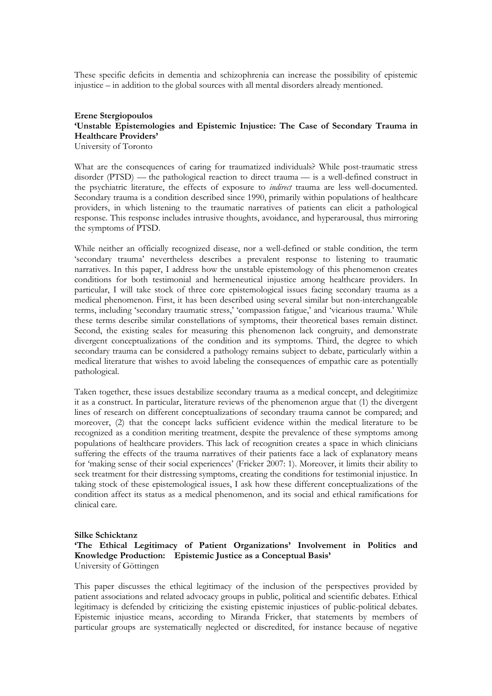These specific deficits in dementia and schizophrenia can increase the possibility of epistemic injustice – in addition to the global sources with all mental disorders already mentioned.

## **Erene Stergiopoulos 'Unstable Epistemologies and Epistemic Injustice: The Case of Secondary Trauma in Healthcare Providers'**

University of Toronto

What are the consequences of caring for traumatized individuals? While post-traumatic stress disorder (PTSD) — the pathological reaction to direct trauma — is a well-defined construct in the psychiatric literature, the effects of exposure to *indirect* trauma are less well-documented. Secondary trauma is a condition described since 1990, primarily within populations of healthcare providers, in which listening to the traumatic narratives of patients can elicit a pathological response. This response includes intrusive thoughts, avoidance, and hyperarousal, thus mirroring the symptoms of PTSD.

While neither an officially recognized disease, nor a well-defined or stable condition, the term 'secondary trauma' nevertheless describes a prevalent response to listening to traumatic narratives. In this paper, I address how the unstable epistemology of this phenomenon creates conditions for both testimonial and hermeneutical injustice among healthcare providers. In particular, I will take stock of three core epistemological issues facing secondary trauma as a medical phenomenon. First, it has been described using several similar but non-interchangeable terms, including 'secondary traumatic stress,' 'compassion fatigue,' and 'vicarious trauma.' While these terms describe similar constellations of symptoms, their theoretical bases remain distinct. Second, the existing scales for measuring this phenomenon lack congruity, and demonstrate divergent conceptualizations of the condition and its symptoms. Third, the degree to which secondary trauma can be considered a pathology remains subject to debate, particularly within a medical literature that wishes to avoid labeling the consequences of empathic care as potentially pathological.

Taken together, these issues destabilize secondary trauma as a medical concept, and delegitimize it as a construct. In particular, literature reviews of the phenomenon argue that (1) the divergent lines of research on different conceptualizations of secondary trauma cannot be compared; and moreover, (2) that the concept lacks sufficient evidence within the medical literature to be recognized as a condition meriting treatment, despite the prevalence of these symptoms among populations of healthcare providers. This lack of recognition creates a space in which clinicians suffering the effects of the trauma narratives of their patients face a lack of explanatory means for 'making sense of their social experiences' (Fricker 2007: 1). Moreover, it limits their ability to seek treatment for their distressing symptoms, creating the conditions for testimonial injustice. In taking stock of these epistemological issues, I ask how these different conceptualizations of the condition affect its status as a medical phenomenon, and its social and ethical ramifications for clinical care.

#### **Silke Schicktanz 'The Ethical Legitimacy of Patient Organizations' Involvement in Politics and Knowledge Production: Epistemic Justice as a Conceptual Basis'** University of Göttingen

This paper discusses the ethical legitimacy of the inclusion of the perspectives provided by patient associations and related advocacy groups in public, political and scientific debates. Ethical legitimacy is defended by criticizing the existing epistemic injustices of public-political debates. Epistemic injustice means, according to Miranda Fricker, that statements by members of particular groups are systematically neglected or discredited, for instance because of negative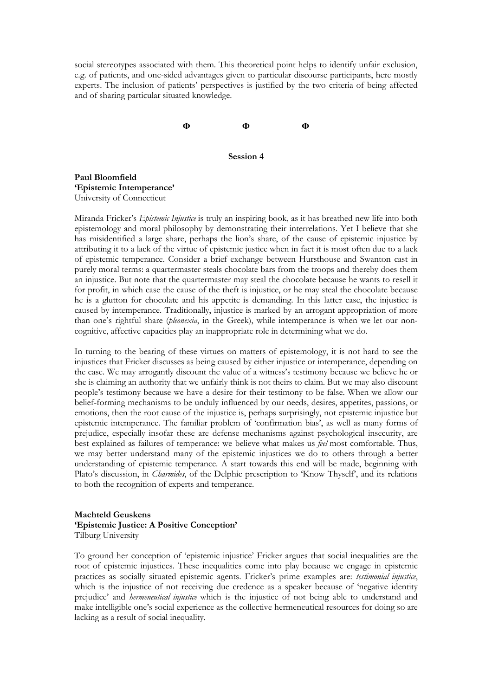social stereotypes associated with them. This theoretical point helps to identify unfair exclusion, e.g. of patients, and one-sided advantages given to particular discourse participants, here mostly experts. The inclusion of patients' perspectives is justified by the two criteria of being affected and of sharing particular situated knowledge.

**Φ Φ Φ**

**Session 4**

**Paul Bloomfield 'Epistemic Intemperance'** University of Connecticut

Miranda Fricker's *Epistemic Injustice* is truly an inspiring book, as it has breathed new life into both epistemology and moral philosophy by demonstrating their interrelations. Yet I believe that she has misidentified a large share, perhaps the lion's share, of the cause of epistemic injustice by attributing it to a lack of the virtue of epistemic justice when in fact it is most often due to a lack of epistemic temperance. Consider a brief exchange between Hursthouse and Swanton cast in purely moral terms: a quartermaster steals chocolate bars from the troops and thereby does them an injustice. But note that the quartermaster may steal the chocolate because he wants to resell it for profit, in which case the cause of the theft is injustice, or he may steal the chocolate because he is a glutton for chocolate and his appetite is demanding. In this latter case, the injustice is caused by intemperance. Traditionally, injustice is marked by an arrogant appropriation of more than one's rightful share (*pleonexia*, in the Greek), while intemperance is when we let our noncognitive, affective capacities play an inappropriate role in determining what we do.

In turning to the bearing of these virtues on matters of epistemology, it is not hard to see the injustices that Fricker discusses as being caused by either injustice or intemperance, depending on the case. We may arrogantly discount the value of a witness's testimony because we believe he or she is claiming an authority that we unfairly think is not theirs to claim. But we may also discount people's testimony because we have a desire for their testimony to be false. When we allow our belief-forming mechanisms to be unduly influenced by our needs, desires, appetites, passions, or emotions, then the root cause of the injustice is, perhaps surprisingly, not epistemic injustice but epistemic intemperance. The familiar problem of 'confirmation bias', as well as many forms of prejudice, especially insofar these are defense mechanisms against psychological insecurity, are best explained as failures of temperance: we believe what makes us *feel* most comfortable. Thus, we may better understand many of the epistemic injustices we do to others through a better understanding of epistemic temperance. A start towards this end will be made, beginning with Plato's discussion, in *Charmides*, of the Delphic prescription to 'Know Thyself', and its relations to both the recognition of experts and temperance.

## **Machteld Geuskens 'Epistemic Justice: A Positive Conception'** Tilburg University

To ground her conception of 'epistemic injustice' Fricker argues that social inequalities are the root of epistemic injustices. These inequalities come into play because we engage in epistemic practices as socially situated epistemic agents. Fricker's prime examples are: *testimonial injustice*, which is the injustice of not receiving due credence as a speaker because of 'negative identity prejudice' and *hermeneutical injustice* which is the injustice of not being able to understand and make intelligible one's social experience as the collective hermeneutical resources for doing so are lacking as a result of social inequality.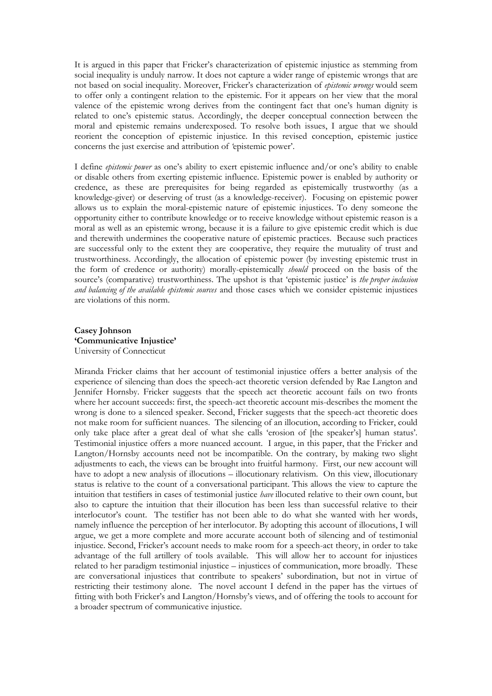It is argued in this paper that Fricker's characterization of epistemic injustice as stemming from social inequality is unduly narrow. It does not capture a wider range of epistemic wrongs that are not based on social inequality. Moreover, Fricker's characterization of *epistemic wrongs* would seem to offer only a contingent relation to the epistemic. For it appears on her view that the moral valence of the epistemic wrong derives from the contingent fact that one's human dignity is related to one's epistemic status. Accordingly, the deeper conceptual connection between the moral and epistemic remains underexposed. To resolve both issues, I argue that we should reorient the conception of epistemic injustice. In this revised conception, epistemic justice concerns the just exercise and attribution of *'*epistemic power'.

I define *epistemic power* as one's ability to exert epistemic influence and/or one's ability to enable or disable others from exerting epistemic influence. Epistemic power is enabled by authority or credence, as these are prerequisites for being regarded as epistemically trustworthy (as a knowledge-giver) or deserving of trust (as a knowledge-receiver). Focusing on epistemic power allows us to explain the moral-epistemic nature of epistemic injustices. To deny someone the opportunity either to contribute knowledge or to receive knowledge without epistemic reason is a moral as well as an epistemic wrong, because it is a failure to give epistemic credit which is due and therewith undermines the cooperative nature of epistemic practices. Because such practices are successful only to the extent they are cooperative, they require the mutuality of trust and trustworthiness. Accordingly, the allocation of epistemic power (by investing epistemic trust in the form of credence or authority) morally-epistemically *should* proceed on the basis of the source's (comparative) trustworthiness. The upshot is that 'epistemic justice' is *the proper inclusion and balancing of the available epistemic sources* and those cases which we consider epistemic injustices are violations of this norm.

#### **Casey Johnson 'Communicative Injustice'** University of Connecticut

Miranda Fricker claims that her account of testimonial injustice offers a better analysis of the experience of silencing than does the speech-act theoretic version defended by Rae Langton and Jennifer Hornsby. Fricker suggests that the speech act theoretic account fails on two fronts where her account succeeds: first, the speech-act theoretic account mis-describes the moment the wrong is done to a silenced speaker. Second, Fricker suggests that the speech-act theoretic does not make room for sufficient nuances. The silencing of an illocution, according to Fricker, could only take place after a great deal of what she calls 'erosion of [the speaker's] human status'. Testimonial injustice offers a more nuanced account. I argue, in this paper, that the Fricker and Langton/Hornsby accounts need not be incompatible. On the contrary, by making two slight adjustments to each, the views can be brought into fruitful harmony. First, our new account will have to adopt a new analysis of illocutions – illocutionary relativism. On this view, illocutionary status is relative to the count of a conversational participant. This allows the view to capture the intuition that testifiers in cases of testimonial justice *have* illocuted relative to their own count, but also to capture the intuition that their illocution has been less than successful relative to their interlocutor's count. The testifier has not been able to do what she wanted with her words, namely influence the perception of her interlocutor. By adopting this account of illocutions, I will argue, we get a more complete and more accurate account both of silencing and of testimonial injustice. Second, Fricker's account needs to make room for a speech-act theory, in order to take advantage of the full artillery of tools available. This will allow her to account for injustices related to her paradigm testimonial injustice – injustices of communication, more broadly. These are conversational injustices that contribute to speakers' subordination, but not in virtue of restricting their testimony alone. The novel account I defend in the paper has the virtues of fitting with both Fricker's and Langton/Hornsby's views, and of offering the tools to account for a broader spectrum of communicative injustice.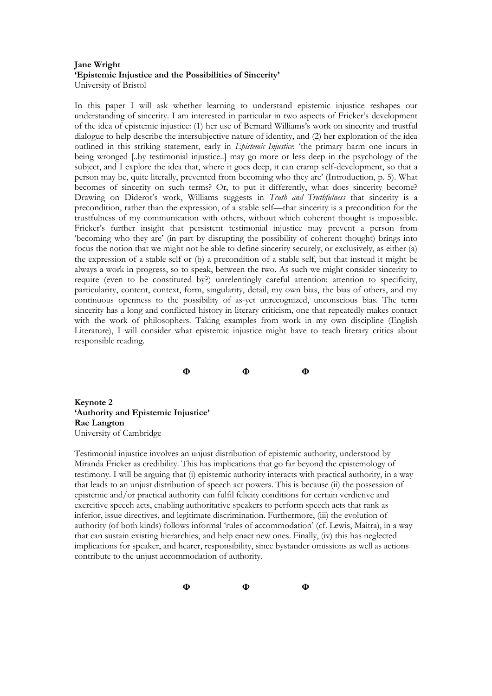#### **Jane Wright 'Epistemic Injustice and the Possibilities of Sincerity'** University of Bristol

In this paper I will ask whether learning to understand epistemic injustice reshapes our understanding of sincerity. I am interested in particular in two aspects of Fricker's development of the idea of epistemic injustice: (1) her use of Bernard Williams's work on sincerity and trustful dialogue to help describe the intersubjective nature of identity, and (2) her exploration of the idea outlined in this striking statement, early in *Epistemic Injustice*: 'the primary harm one incurs in being wronged [..by testimonial injustice..] may go more or less deep in the psychology of the subject, and I explore the idea that, where it goes deep, it can cramp self-development, so that a person may be, quite literally, prevented from becoming who they are' (Introduction, p. 5). What becomes of sincerity on such terms? Or, to put it differently, what does sincerity become? Drawing on Diderot's work, Williams suggests in *Truth and Truthfulness* that sincerity is a precondition, rather than the expression, of a stable self—that sincerity is a precondition for the trustfulness of my communication with others, without which coherent thought is impossible. Fricker's further insight that persistent testimonial injustice may prevent a person from 'becoming who they are' (in part by disrupting the possibility of coherent thought) brings into focus the notion that we might not be able to define sincerity securely, or exclusively, as either (a) the expression of a stable self or (b) a precondition of a stable self, but that instead it might be always a work in progress, so to speak, between the two. As such we might consider sincerity to require (even to be constituted by?) unrelentingly careful attention: attention to specificity, particularity, content, context, form, singularity, detail, my own bias, the bias of others, and my continuous openness to the possibility of as-yet unrecognized, unconscious bias. The term sincerity has a long and conflicted history in literary criticism, one that repeatedly makes contact with the work of philosophers. Taking examples from work in my own discipline (English Literature), I will consider what epistemic injustice might have to teach literary critics about responsible reading.

**Φ Φ Φ**

**Keynote 2 'Authority and Epistemic Injustice' Rae Langton** University of Cambridge

Testimonial injustice involves an unjust distribution of epistemic authority, understood by Miranda Fricker as credibility. This has implications that go far beyond the epistemology of testimony. I will be arguing that (i) epistemic authority interacts with practical authority, in a way that leads to an unjust distribution of speech act powers. This is because (ii) the possession of epistemic and/or practical authority can fulfil felicity conditions for certain verdictive and exercitive speech acts, enabling authoritative speakers to perform speech acts that rank as inferior, issue directives, and legitimate discrimination. Furthermore, (iii) the evolution of authority (of both kinds) follows informal 'rules of accommodation' (cf. Lewis, Maitra), in a way that can sustain existing hierarchies, and help enact new ones. Finally, (iv) this has neglected implications for speaker, and hearer, responsibility, since bystander omissions as well as actions contribute to the unjust accommodation of authority.

**Φ Φ Φ**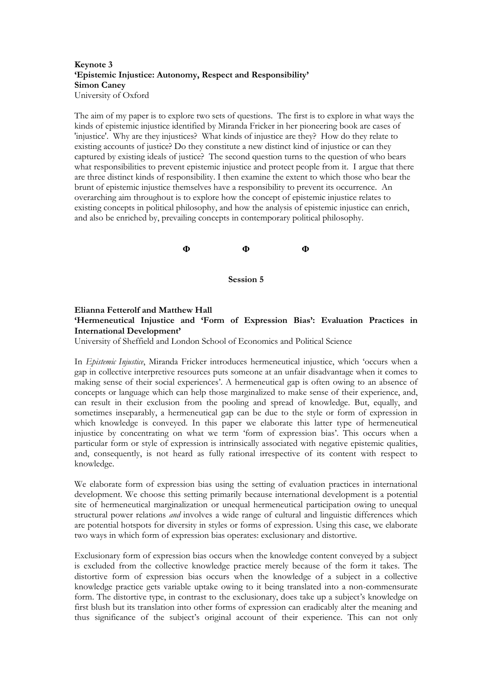#### **Keynote 3 'Epistemic Injustice: Autonomy, Respect and Responsibility' Simon Caney** University of Oxford

The aim of my paper is to explore two sets of questions. The first is to explore in what ways the kinds of epistemic injustice identified by Miranda Fricker in her pioneering book are cases of 'injustice'. Why are they injustices? What kinds of injustice are they? How do they relate to existing accounts of justice? Do they constitute a new distinct kind of injustice or can they captured by existing ideals of justice? The second question turns to the question of who bears what responsibilities to prevent epistemic injustice and protect people from it. I argue that there are three distinct kinds of responsibility. I then examine the extent to which those who bear the brunt of epistemic injustice themselves have a responsibility to prevent its occurrence. An overarching aim throughout is to explore how the concept of epistemic injustice relates to existing concepts in political philosophy, and how the analysis of epistemic injustice can enrich, and also be enriched by, prevailing concepts in contemporary political philosophy.



#### **Elianna Fetterolf and Matthew Hall 'Hermeneutical Injustice and 'Form of Expression Bias': Evaluation Practices in International Development'**

University of Sheffield and London School of Economics and Political Science

In *Epistemic Injustice*, Miranda Fricker introduces hermeneutical injustice, which 'occurs when a gap in collective interpretive resources puts someone at an unfair disadvantage when it comes to making sense of their social experiences'. A hermeneutical gap is often owing to an absence of concepts or language which can help those marginalized to make sense of their experience, and, can result in their exclusion from the pooling and spread of knowledge. But, equally, and sometimes inseparably, a hermeneutical gap can be due to the style or form of expression in which knowledge is conveyed. In this paper we elaborate this latter type of hermeneutical injustice by concentrating on what we term 'form of expression bias'. This occurs when a particular form or style of expression is intrinsically associated with negative epistemic qualities, and, consequently, is not heard as fully rational irrespective of its content with respect to knowledge.

We elaborate form of expression bias using the setting of evaluation practices in international development. We choose this setting primarily because international development is a potential site of hermeneutical marginalization or unequal hermeneutical participation owing to unequal structural power relations *and* involves a wide range of cultural and linguistic differences which are potential hotspots for diversity in styles or forms of expression. Using this case, we elaborate two ways in which form of expression bias operates: exclusionary and distortive.

Exclusionary form of expression bias occurs when the knowledge content conveyed by a subject is excluded from the collective knowledge practice merely because of the form it takes. The distortive form of expression bias occurs when the knowledge of a subject in a collective knowledge practice gets variable uptake owing to it being translated into a non-commensurate form. The distortive type, in contrast to the exclusionary, does take up a subject's knowledge on first blush but its translation into other forms of expression can eradicably alter the meaning and thus significance of the subject's original account of their experience. This can not only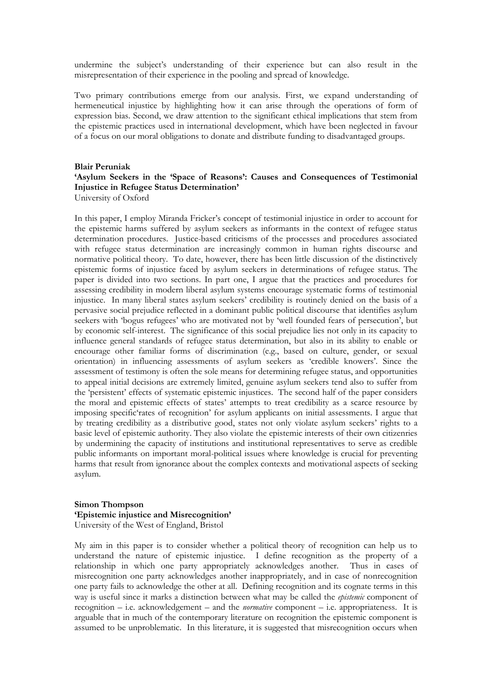undermine the subject's understanding of their experience but can also result in the misrepresentation of their experience in the pooling and spread of knowledge.

Two primary contributions emerge from our analysis. First, we expand understanding of hermeneutical injustice by highlighting how it can arise through the operations of form of expression bias. Second, we draw attention to the significant ethical implications that stem from the epistemic practices used in international development, which have been neglected in favour of a focus on our moral obligations to donate and distribute funding to disadvantaged groups.

#### **Blair Peruniak 'Asylum Seekers in the 'Space of Reasons': Causes and Consequences of Testimonial Injustice in Refugee Status Determination'** University of Oxford

In this paper, I employ Miranda Fricker's concept of testimonial injustice in order to account for the epistemic harms suffered by asylum seekers as informants in the context of refugee status determination procedures. Justice-based criticisms of the processes and procedures associated with refugee status determination are increasingly common in human rights discourse and normative political theory. To date, however, there has been little discussion of the distinctively epistemic forms of injustice faced by asylum seekers in determinations of refugee status. The paper is divided into two sections. In part one, I argue that the practices and procedures for assessing credibility in modern liberal asylum systems encourage systematic forms of testimonial injustice. In many liberal states asylum seekers' credibility is routinely denied on the basis of a pervasive social prejudice reflected in a dominant public political discourse that identifies asylum seekers with 'bogus refugees' who are motivated not by 'well founded fears of persecution', but by economic self-interest. The significance of this social prejudice lies not only in its capacity to influence general standards of refugee status determination, but also in its ability to enable or encourage other familiar forms of discrimination (e.g., based on culture, gender, or sexual orientation) in influencing assessments of asylum seekers as 'credible knowers'. Since the assessment of testimony is often the sole means for determining refugee status, and opportunities to appeal initial decisions are extremely limited, genuine asylum seekers tend also to suffer from the 'persistent' effects of systematic epistemic injustices. The second half of the paper considers the moral and epistemic effects of states' attempts to treat credibility as a scarce resource by imposing specific'rates of recognition' for asylum applicants on initial assessments. I argue that by treating credibility as a distributive good, states not only violate asylum seekers' rights to a basic level of epistemic authority. They also violate the epistemic interests of their own citizenries by undermining the capacity of institutions and institutional representatives to serve as credible public informants on important moral-political issues where knowledge is crucial for preventing harms that result from ignorance about the complex contexts and motivational aspects of seeking asylum.

#### **Simon Thompson 'Epistemic injustice and Misrecognition'** University of the West of England, Bristol

My aim in this paper is to consider whether a political theory of recognition can help us to understand the nature of epistemic injustice. I define recognition as the property of a relationship in which one party appropriately acknowledges another. Thus in cases of misrecognition one party acknowledges another inappropriately, and in case of nonrecognition one party fails to acknowledge the other at all. Defining recognition and its cognate terms in this way is useful since it marks a distinction between what may be called the *epistemic* component of recognition – i.e. acknowledgement – and the *normative* component – i.e. appropriateness. It is arguable that in much of the contemporary literature on recognition the epistemic component is assumed to be unproblematic. In this literature, it is suggested that misrecognition occurs when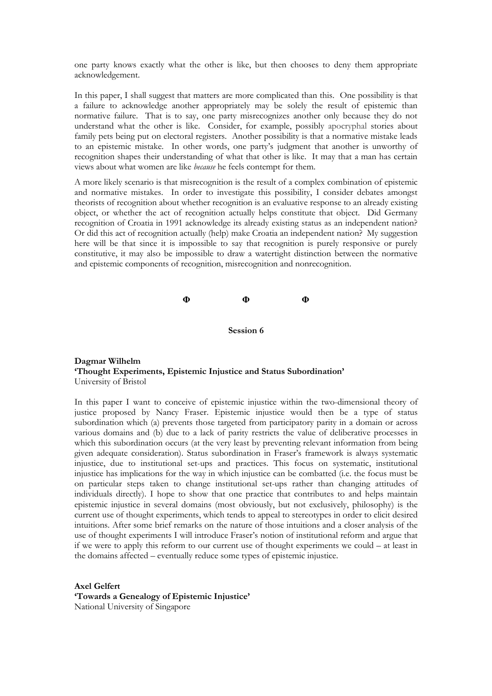one party knows exactly what the other is like, but then chooses to deny them appropriate acknowledgement.

In this paper, I shall suggest that matters are more complicated than this. One possibility is that a failure to acknowledge another appropriately may be solely the result of epistemic than normative failure. That is to say, one party misrecognizes another only because they do not understand what the other is like. Consider, for example, possibly apocryphal stories about family pets being put on electoral registers. Another possibility is that a normative mistake leads to an epistemic mistake. In other words, one party's judgment that another is unworthy of recognition shapes their understanding of what that other is like. It may that a man has certain views about what women are like *because* he feels contempt for them.

A more likely scenario is that misrecognition is the result of a complex combination of epistemic and normative mistakes. In order to investigate this possibility, I consider debates amongst theorists of recognition about whether recognition is an evaluative response to an already existing object, or whether the act of recognition actually helps constitute that object. Did Germany recognition of Croatia in 1991 acknowledge its already existing status as an independent nation? Or did this act of recognition actually (help) make Croatia an independent nation? My suggestion here will be that since it is impossible to say that recognition is purely responsive or purely constitutive, it may also be impossible to draw a watertight distinction between the normative and epistemic components of recognition, misrecognition and nonrecognition.

**Φ Φ Φ**

**Session 6**

#### **Dagmar Wilhelm 'Thought Experiments, Epistemic Injustice and Status Subordination'** University of Bristol

In this paper I want to conceive of epistemic injustice within the two-dimensional theory of justice proposed by Nancy Fraser. Epistemic injustice would then be a type of status subordination which (a) prevents those targeted from participatory parity in a domain or across various domains and (b) due to a lack of parity restricts the value of deliberative processes in which this subordination occurs (at the very least by preventing relevant information from being given adequate consideration). Status subordination in Fraser's framework is always systematic injustice, due to institutional set-ups and practices. This focus on systematic, institutional injustice has implications for the way in which injustice can be combatted (i.e. the focus must be on particular steps taken to change institutional set-ups rather than changing attitudes of individuals directly). I hope to show that one practice that contributes to and helps maintain epistemic injustice in several domains (most obviously, but not exclusively, philosophy) is the current use of thought experiments, which tends to appeal to stereotypes in order to elicit desired intuitions. After some brief remarks on the nature of those intuitions and a closer analysis of the use of thought experiments I will introduce Fraser's notion of institutional reform and argue that if we were to apply this reform to our current use of thought experiments we could – at least in the domains affected – eventually reduce some types of epistemic injustice.

**Axel Gelfert 'Towards a Genealogy of Epistemic Injustice'** National University of Singapore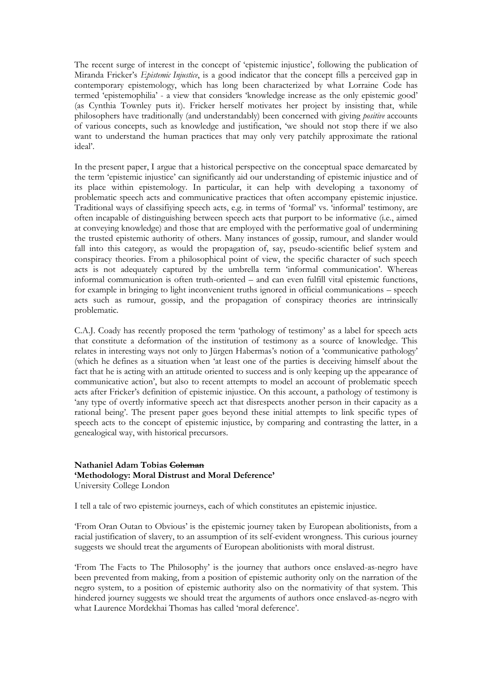The recent surge of interest in the concept of 'epistemic injustice', following the publication of Miranda Fricker's *Epistemic Injustice*, is a good indicator that the concept fills a perceived gap in contemporary epistemology, which has long been characterized by what Lorraine Code has termed 'epistemophilia' - a view that considers 'knowledge increase as the only epistemic good' (as Cynthia Townley puts it). Fricker herself motivates her project by insisting that, while philosophers have traditionally (and understandably) been concerned with giving *positive* accounts of various concepts, such as knowledge and justification, 'we should not stop there if we also want to understand the human practices that may only very patchily approximate the rational ideal'.

In the present paper, I argue that a historical perspective on the conceptual space demarcated by the term 'epistemic injustice' can significantly aid our understanding of epistemic injustice and of its place within epistemology. In particular, it can help with developing a taxonomy of problematic speech acts and communicative practices that often accompany epistemic injustice. Traditional ways of classifiying speech acts, e.g. in terms of 'formal' vs. 'informal' testimony, are often incapable of distinguishing between speech acts that purport to be informative (i.e., aimed at conveying knowledge) and those that are employed with the performative goal of undermining the trusted epistemic authority of others. Many instances of gossip, rumour, and slander would fall into this category, as would the propagation of, say, pseudo-scientific belief system and conspiracy theories. From a philosophical point of view, the specific character of such speech acts is not adequately captured by the umbrella term 'informal communication'. Whereas informal communication is often truth-oriented – and can even fulfill vital epistemic functions, for example in bringing to light inconvenient truths ignored in official communications – speech acts such as rumour, gossip, and the propagation of conspiracy theories are intrinsically problematic.

C.A.J. Coady has recently proposed the term 'pathology of testimony' as a label for speech acts that constitute a deformation of the institution of testimony as a source of knowledge. This relates in interesting ways not only to Jürgen Habermas's notion of a 'communicative pathology' (which he defines as a situation when 'at least one of the parties is deceiving himself about the fact that he is acting with an attitude oriented to success and is only keeping up the appearance of communicative action', but also to recent attempts to model an account of problematic speech acts after Fricker's definition of epistemic injustice. On this account, a pathology of testimony is 'any type of overtly informative speech act that disrespects another person in their capacity as a rational being'. The present paper goes beyond these initial attempts to link specific types of speech acts to the concept of epistemic injustice, by comparing and contrasting the latter, in a genealogical way, with historical precursors.

### **Nathaniel Adam Tobias Coleman 'Methodology: Moral Distrust and Moral Deference'** University College London

I tell a tale of two epistemic journeys, each of which constitutes an epistemic injustice.

'From Oran Outan to Obvious' is the epistemic journey taken by European abolitionists, from a racial justification of slavery, to an assumption of its self-evident wrongness. This curious journey suggests we should treat the arguments of European abolitionists with moral distrust.

'From The Facts to The Philosophy' is the journey that authors once enslaved-as-negro have been prevented from making, from a position of epistemic authority only on the narration of the negro system, to a position of epistemic authority also on the normativity of that system. This hindered journey suggests we should treat the arguments of authors once enslaved-as-negro with what Laurence Mordekhai Thomas has called 'moral deference'.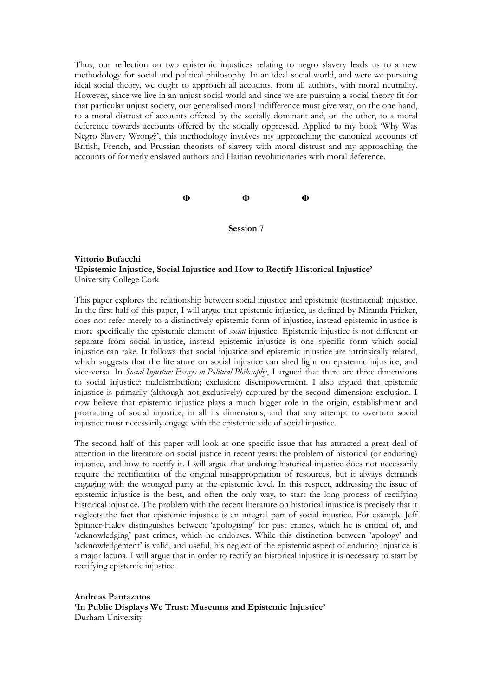Thus, our reflection on two epistemic injustices relating to negro slavery leads us to a new methodology for social and political philosophy. In an ideal social world, and were we pursuing ideal social theory, we ought to approach all accounts, from all authors, with moral neutrality. However, since we live in an unjust social world and since we are pursuing a social theory fit for that particular unjust society, our generalised moral indifference must give way, on the one hand, to a moral distrust of accounts offered by the socially dominant and, on the other, to a moral deference towards accounts offered by the socially oppressed. Applied to my book 'Why Was Negro Slavery Wrong?', this methodology involves my approaching the canonical accounts of British, French, and Prussian theorists of slavery with moral distrust and my approaching the accounts of formerly enslaved authors and Haitian revolutionaries with moral deference.

# **Φ Φ Φ**

**Session 7**

### **Vittorio Bufacchi 'Epistemic Injustice, Social Injustice and How to Rectify Historical Injustice'** University College Cork

This paper explores the relationship between social injustice and epistemic (testimonial) injustice. In the first half of this paper, I will argue that epistemic injustice, as defined by Miranda Fricker, does not refer merely to a distinctively epistemic form of injustice, instead epistemic injustice is more specifically the epistemic element of *social* injustice. Epistemic injustice is not different or separate from social injustice, instead epistemic injustice is one specific form which social injustice can take. It follows that social injustice and epistemic injustice are intrinsically related, which suggests that the literature on social injustice can shed light on epistemic injustice, and vice-versa. In *Social Injustice: Essays in Political Philosophy*, I argued that there are three dimensions to social injustice: maldistribution; exclusion; disempowerment. I also argued that epistemic injustice is primarily (although not exclusively) captured by the second dimension: exclusion. I now believe that epistemic injustice plays a much bigger role in the origin, establishment and protracting of social injustice, in all its dimensions, and that any attempt to overturn social injustice must necessarily engage with the epistemic side of social injustice.

The second half of this paper will look at one specific issue that has attracted a great deal of attention in the literature on social justice in recent years: the problem of historical (or enduring) injustice, and how to rectify it. I will argue that undoing historical injustice does not necessarily require the rectification of the original misappropriation of resources, but it always demands engaging with the wronged party at the epistemic level. In this respect, addressing the issue of epistemic injustice is the best, and often the only way, to start the long process of rectifying historical injustice. The problem with the recent literature on historical injustice is precisely that it neglects the fact that epistemic injustice is an integral part of social injustice. For example Jeff Spinner-Halev distinguishes between 'apologising' for past crimes, which he is critical of, and 'acknowledging' past crimes, which he endorses. While this distinction between 'apology' and 'acknowledgement' is valid, and useful, his neglect of the epistemic aspect of enduring injustice is a major lacuna. I will argue that in order to rectify an historical injustice it is necessary to start by rectifying epistemic injustice.

**Andreas Pantazatos 'In Public Displays We Trust: Museums and Epistemic Injustice'** Durham University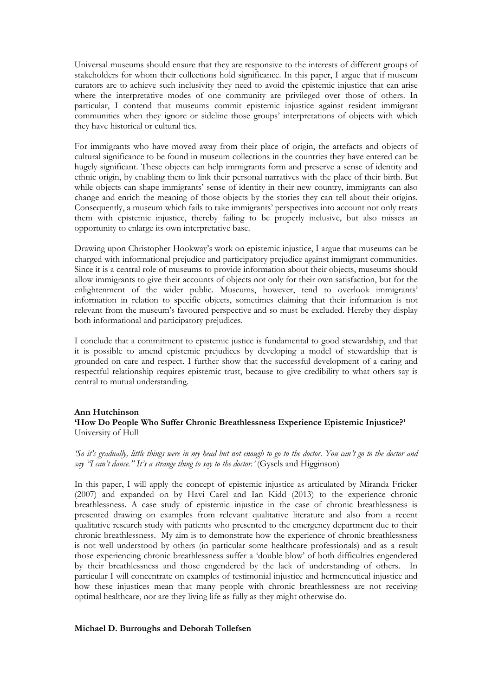Universal museums should ensure that they are responsive to the interests of different groups of stakeholders for whom their collections hold significance. In this paper, I argue that if museum curators are to achieve such inclusivity they need to avoid the epistemic injustice that can arise where the interpretative modes of one community are privileged over those of others. In particular, I contend that museums commit epistemic injustice against resident immigrant communities when they ignore or sideline those groups' interpretations of objects with which they have historical or cultural ties.

For immigrants who have moved away from their place of origin, the artefacts and objects of cultural significance to be found in museum collections in the countries they have entered can be hugely significant. These objects can help immigrants form and preserve a sense of identity and ethnic origin, by enabling them to link their personal narratives with the place of their birth. But while objects can shape immigrants' sense of identity in their new country, immigrants can also change and enrich the meaning of those objects by the stories they can tell about their origins. Consequently, a museum which fails to take immigrants' perspectives into account not only treats them with epistemic injustice, thereby failing to be properly inclusive, but also misses an opportunity to enlarge its own interpretative base.

Drawing upon Christopher Hookway's work on epistemic injustice, I argue that museums can be charged with informational prejudice and participatory prejudice against immigrant communities. Since it is a central role of museums to provide information about their objects, museums should allow immigrants to give their accounts of objects not only for their own satisfaction, but for the enlightenment of the wider public. Museums, however, tend to overlook immigrants' information in relation to specific objects, sometimes claiming that their information is not relevant from the museum's favoured perspective and so must be excluded. Hereby they display both informational and participatory prejudices.

I conclude that a commitment to epistemic justice is fundamental to good stewardship, and that it is possible to amend epistemic prejudices by developing a model of stewardship that is grounded on care and respect. I further show that the successful development of a caring and respectful relationship requires epistemic trust, because to give credibility to what others say is central to mutual understanding.

#### **Ann Hutchinson 'How Do People Who Suffer Chronic Breathlessness Experience Epistemic Injustice?'** University of Hull

*'So it's gradually, little things were in my head but not enough to go to the doctor. You can't go to the doctor and say ''I can't dance.'' It's a strange thing to say to the doctor.'* (Gysels and Higginson)

In this paper, I will apply the concept of epistemic injustice as articulated by Miranda Fricker (2007) and expanded on by Havi Carel and Ian Kidd (2013) to the experience chronic breathlessness. A case study of epistemic injustice in the case of chronic breathlessness is presented drawing on examples from relevant qualitative literature and also from a recent qualitative research study with patients who presented to the emergency department due to their chronic breathlessness. My aim is to demonstrate how the experience of chronic breathlessness is not well understood by others (in particular some healthcare professionals) and as a result those experiencing chronic breathlessness suffer a 'double blow' of both difficulties engendered by their breathlessness and those engendered by the lack of understanding of others. In particular I will concentrate on examples of testimonial injustice and hermeneutical injustice and how these injustices mean that many people with chronic breathlessness are not receiving optimal healthcare, nor are they living life as fully as they might otherwise do.

#### **Michael D. Burroughs and Deborah Tollefsen**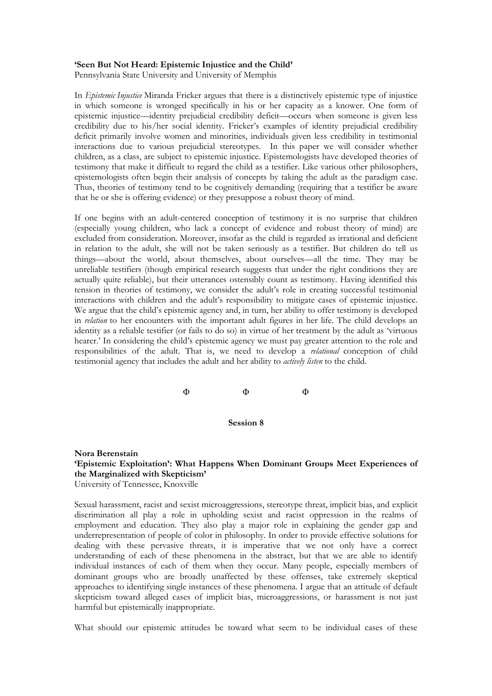#### **'Seen But Not Heard: Epistemic Injustice and the Child'**

Pennsylvania State University and University of Memphis

In *Epistemic Injustice* Miranda Fricker argues that there is a distinctively epistemic type of injustice in which someone is wronged specifically in his or her capacity as a knower. One form of epistemic injustice—identity prejudicial credibility deficit—occurs when someone is given less credibility due to his/her social identity. Fricker's examples of identity prejudicial credibility deficit primarily involve women and minorities, individuals given less credibility in testimonial interactions due to various prejudicial stereotypes. In this paper we will consider whether children, as a class, are subject to epistemic injustice. Epistemologists have developed theories of testimony that make it difficult to regard the child as a testifier. Like various other philosophers, epistemologists often begin their analysis of concepts by taking the adult as the paradigm case. Thus, theories of testimony tend to be cognitively demanding (requiring that a testifier be aware that he or she is offering evidence) or they presuppose a robust theory of mind.

If one begins with an adult-centered conception of testimony it is no surprise that children (especially young children, who lack a concept of evidence and robust theory of mind) are excluded from consideration. Moreover, insofar as the child is regarded as irrational and deficient in relation to the adult, she will not be taken seriously as a testifier. But children do tell us things—about the world, about themselves, about ourselves—all the time. They may be unreliable testifiers (though empirical research suggests that under the right conditions they are actually quite reliable), but their utterances ostensibly count as testimony. Having identified this tension in theories of testimony, we consider the adult's role in creating successful testimonial interactions with children and the adult's responsibility to mitigate cases of epistemic injustice. We argue that the child's epistemic agency and, in turn, her ability to offer testimony is developed in *relation* to her encounters with the important adult figures in her life. The child develops an identity as a reliable testifier (or fails to do so) in virtue of her treatment by the adult as 'virtuous hearer.' In considering the child's epistemic agency we must pay greater attention to the role and responsibilities of the adult. That is, we need to develop a *relational* conception of child testimonial agency that includes the adult and her ability to *actively listen* to the child.

# $\Phi$   $\Phi$   $\Phi$

**Session 8**

#### **Nora Berenstain 'Epistemic Exploitation': What Happens When Dominant Groups Meet Experiences of the Marginalized with Skepticism'** University of Tennessee, Knoxville

Sexual harassment, racist and sexist microaggressions, stereotype threat, implicit bias, and explicit discrimination all play a role in upholding sexist and racist oppression in the realms of employment and education. They also play a major role in explaining the gender gap and underrepresentation of people of color in philosophy. In order to provide effective solutions for dealing with these pervasive threats, it is imperative that we not only have a correct understanding of each of these phenomena in the abstract, but that we are able to identify individual instances of each of them when they occur. Many people, especially members of dominant groups who are broadly unaffected by these offenses, take extremely skeptical approaches to identifying single instances of these phenomena. I argue that an attitude of default skepticism toward alleged cases of implicit bias, microaggressions, or harassment is not just harmful but epistemically inappropriate.

What should our epistemic attitudes be toward what seem to be individual cases of these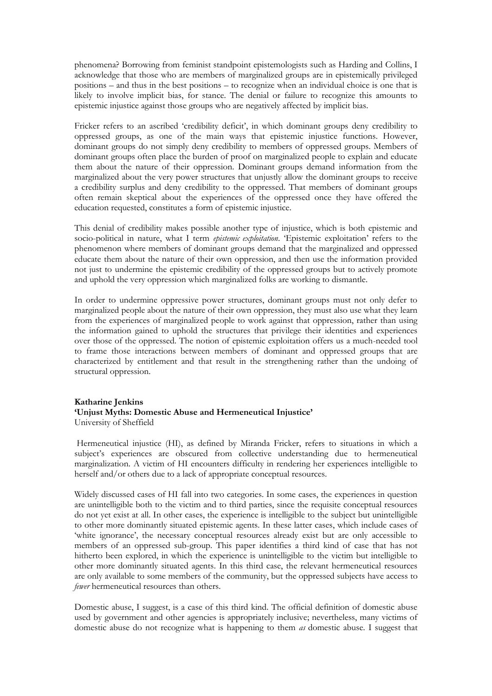phenomena? Borrowing from feminist standpoint epistemologists such as Harding and Collins, I acknowledge that those who are members of marginalized groups are in epistemically privileged positions – and thus in the best positions – to recognize when an individual choice is one that is likely to involve implicit bias, for stance. The denial or failure to recognize this amounts to epistemic injustice against those groups who are negatively affected by implicit bias.

Fricker refers to an ascribed 'credibility deficit', in which dominant groups deny credibility to oppressed groups, as one of the main ways that epistemic injustice functions. However, dominant groups do not simply deny credibility to members of oppressed groups. Members of dominant groups often place the burden of proof on marginalized people to explain and educate them about the nature of their oppression. Dominant groups demand information from the marginalized about the very power structures that unjustly allow the dominant groups to receive a credibility surplus and deny credibility to the oppressed. That members of dominant groups often remain skeptical about the experiences of the oppressed once they have offered the education requested, constitutes a form of epistemic injustice.

This denial of credibility makes possible another type of injustice, which is both epistemic and socio-political in nature, what I term *epistemic exploitation*. 'Epistemic exploitation' refers to the phenomenon where members of dominant groups demand that the marginalized and oppressed educate them about the nature of their own oppression, and then use the information provided not just to undermine the epistemic credibility of the oppressed groups but to actively promote and uphold the very oppression which marginalized folks are working to dismantle.

In order to undermine oppressive power structures, dominant groups must not only defer to marginalized people about the nature of their own oppression, they must also use what they learn from the experiences of marginalized people to work against that oppression, rather than using the information gained to uphold the structures that privilege their identities and experiences over those of the oppressed. The notion of epistemic exploitation offers us a much-needed tool to frame those interactions between members of dominant and oppressed groups that are characterized by entitlement and that result in the strengthening rather than the undoing of structural oppression.

#### **Katharine Jenkins 'Unjust Myths: Domestic Abuse and Hermeneutical Injustice'** University of Sheffield

Hermeneutical injustice (HI), as defined by Miranda Fricker, refers to situations in which a subject's experiences are obscured from collective understanding due to hermeneutical marginalization. A victim of HI encounters difficulty in rendering her experiences intelligible to herself and/or others due to a lack of appropriate conceptual resources.

Widely discussed cases of HI fall into two categories. In some cases, the experiences in question are unintelligible both to the victim and to third parties, since the requisite conceptual resources do not yet exist at all. In other cases, the experience is intelligible to the subject but unintelligible to other more dominantly situated epistemic agents. In these latter cases, which include cases of 'white ignorance', the necessary conceptual resources already exist but are only accessible to members of an oppressed sub-group. This paper identifies a third kind of case that has not hitherto been explored, in which the experience is unintelligible to the victim but intelligible to other more dominantly situated agents. In this third case, the relevant hermeneutical resources are only available to some members of the community, but the oppressed subjects have access to *fewer* hermeneutical resources than others.

Domestic abuse, I suggest, is a case of this third kind. The official definition of domestic abuse used by government and other agencies is appropriately inclusive; nevertheless, many victims of domestic abuse do not recognize what is happening to them *as* domestic abuse. I suggest that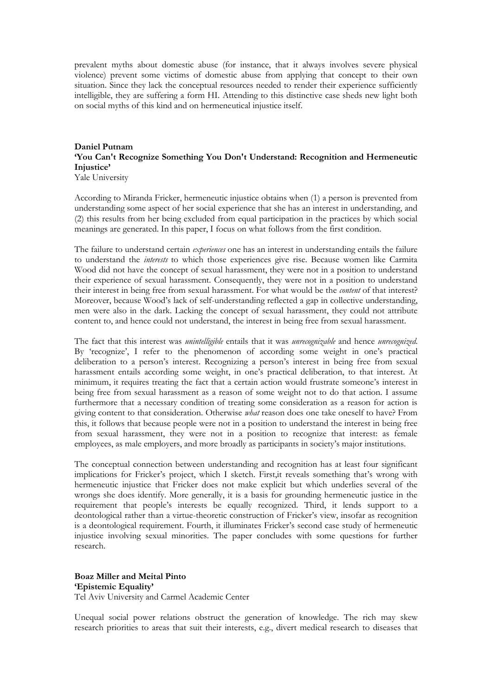prevalent myths about domestic abuse (for instance, that it always involves severe physical violence) prevent some victims of domestic abuse from applying that concept to their own situation. Since they lack the conceptual resources needed to render their experience sufficiently intelligible, they are suffering a form HI. Attending to this distinctive case sheds new light both on social myths of this kind and on hermeneutical injustice itself.

## **Daniel Putnam 'You Can't Recognize Something You Don't Understand: Recognition and Hermeneutic Injustice'**

Yale University

According to Miranda Fricker, hermeneutic injustice obtains when (1) a person is prevented from understanding some aspect of her social experience that she has an interest in understanding, and (2) this results from her being excluded from equal participation in the practices by which social meanings are generated. In this paper, I focus on what follows from the first condition.

The failure to understand certain *experiences* one has an interest in understanding entails the failure to understand the *interests* to which those experiences give rise. Because women like Carmita Wood did not have the concept of sexual harassment, they were not in a position to understand their experience of sexual harassment. Consequently, they were not in a position to understand their interest in being free from sexual harassment. For what would be the *content* of that interest? Moreover, because Wood's lack of self-understanding reflected a gap in collective understanding, men were also in the dark. Lacking the concept of sexual harassment, they could not attribute content to, and hence could not understand, the interest in being free from sexual harassment.

The fact that this interest was *unintelligible* entails that it was *unrecognizable* and hence *unrecognized*. By 'recognize', I refer to the phenomenon of according some weight in one's practical deliberation to a person's interest. Recognizing a person's interest in being free from sexual harassment entails according some weight, in one's practical deliberation, to that interest. At minimum, it requires treating the fact that a certain action would frustrate someone's interest in being free from sexual harassment as a reason of some weight not to do that action. I assume furthermore that a necessary condition of treating some consideration as a reason for action is giving content to that consideration. Otherwise *what* reason does one take oneself to have? From this, it follows that because people were not in a position to understand the interest in being free from sexual harassment, they were not in a position to recognize that interest: as female employees, as male employers, and more broadly as participants in society's major institutions.

The conceptual connection between understanding and recognition has at least four significant implications for Fricker's project, which I sketch. First,it reveals something that's wrong with hermeneutic injustice that Fricker does not make explicit but which underlies several of the wrongs she does identify. More generally, it is a basis for grounding hermeneutic justice in the requirement that people's interests be equally recognized. Third, it lends support to a deontological rather than a virtue-theoretic construction of Fricker's view, insofar as recognition is a deontological requirement. Fourth, it illuminates Fricker's second case study of hermeneutic injustice involving sexual minorities. The paper concludes with some questions for further research.

**Boaz Miller and Meital Pinto 'Epistemic Equality'** Tel Aviv University and Carmel Academic Center

Unequal social power relations obstruct the generation of knowledge. The rich may skew research priorities to areas that suit their interests, e.g., divert medical research to diseases that